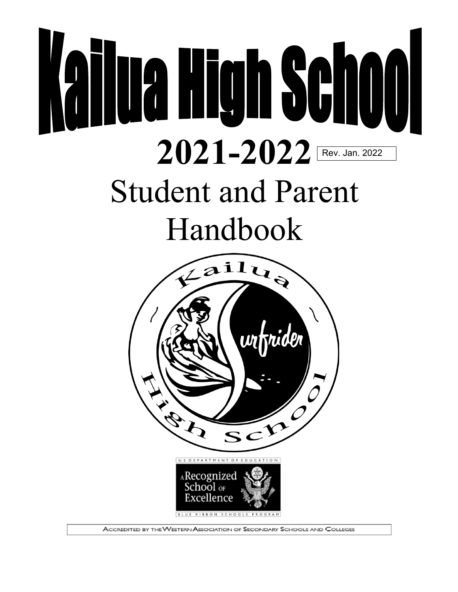# **Kailua High School 2021-2022** Rev. Jan. 2022Student and Parent Handbook



ACCREDITED BY THE WESTERN ASSOCIATION OF SECONDARY SCHOOLS AND COLLEGES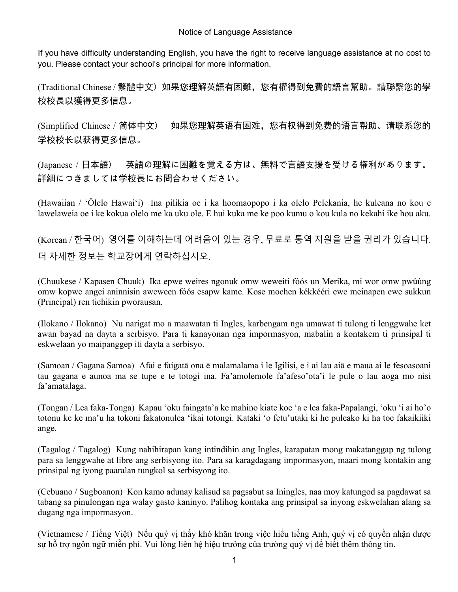#### Notice of Language Assistance

If you have difficulty understanding English, you have the right to receive language assistance at no cost to you. Please contact your school's principal for more information.

(Traditional Chinese / 繁體中文) 如果您理解英語有困難,您有權得到免費的語言幫助。請聯繫您的學 校校長以獲得更多信息。

(Simplified Chinese / 简体中文) 如果您理解英语有困难,您有权得到免费的语言帮助。请联系您的 学校校长以获得更多信息。

(Japanese / 日本語) 英語の理解に困難を覚える方は、無料で言語支援を受ける権利があります。 詳細につきましては学校長にお問合わせください。

(Hawaiian / ʻŌlelo Hawaiʻi) Ina pilikia oe i ka hoomaopopo i ka olelo Pelekania, he kuleana no kou e lawelaweia oe i ke kokua olelo me ka uku ole. E hui kuka me ke poo kumu o kou kula no kekahi ike hou aku.

(Korean / 한국어) 영어를 이해하는데 어려움이 있는 경우, 무료로 통역 지원을 받을 권리가 있습니다. 더 자세한 정보는 학교장에게 연락하십시오.

(Chuukese / Kapasen Chuuk) Ika epwe weires ngonuk omw weweiti fóós un Merika, mi wor omw pwúúng omw kopwe angei aninnisin aweween fóós esapw kame. Kose mochen kékkééri ewe meinapen ewe sukkun (Principal) ren tichikin pworausan.

(Ilokano / Ilokano) Nu narigat mo a maawatan ti Ingles, karbengam nga umawat ti tulong ti lenggwahe ket awan bayad na dayta a serbisyo. Para ti kanayonan nga impormasyon, mabalin a kontakem ti prinsipal ti eskwelaan yo maipanggep iti dayta a serbisyo.

(Samoan / Gagana Samoa) Afai e faigatā ona ē malamalama i le Igilisi, e i ai lau aiā e maua ai le fesoasoani tau gagana e aunoa ma se tupe e te totogi ina. Fa'amolemole fa'afeso'ota'i le pule o lau aoga mo nisi fa'amatalaga.

(Tongan / Lea faka-Tonga) Kapau 'oku faingata'a ke mahino kiate koe 'a e lea faka-Papalangi, 'oku 'i ai ho'o totonu ke ke ma'u ha tokoni fakatonulea 'ikai totongi. Kataki 'o fetu'utaki ki he puleako ki ha toe fakaikiiki ange.

(Tagalog / Tagalog) Kung nahihirapan kang intindihin ang Ingles, karapatan mong makatanggap ng tulong para sa lenggwahe at libre ang serbisyong ito. Para sa karagdagang impormasyon, maari mong kontakin ang prinsipal ng iyong paaralan tungkol sa serbisyong ito.

(Cebuano / Sugboanon) Kon kamo adunay kalisud sa pagsabut sa Iningles, naa moy katungod sa pagdawat sa tabang sa pinulongan nga walay gasto kaninyo. Palihog kontaka ang prinsipal sa inyong eskwelahan alang sa dugang nga impormasyon.

(Vietnamese / Tiếng Việt) Nếu quý vị thấy khó khăn trong việc hiểu tiếng Anh, quý vị có quyền nhận được sự hỗ trợ ngôn ngữ miễn phí. Vui lòng liên hệ hiệu trưởng của trường quý vị để biết thêm thông tin.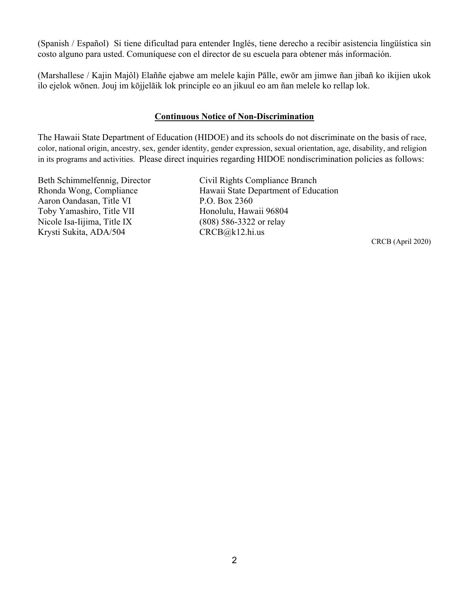(Spanish / Español) Si tiene dificultad para entender Inglés, tiene derecho a recibir asistencia lingüística sin costo alguno para usted. Comuníquese con el director de su escuela para obtener más información.

(Marshallese / Kajin Majôl) Elaññe ejabwe am melele kajin Pālle, ewōr am jimwe ñan jibañ ko ikijien ukok ilo ejelok wōnen. Jouj im kōjjelāik lok principle eo an jikuul eo am ñan melele ko rellap lok.

#### **Continuous Notice of Non-Discrimination**

The Hawaii State Department of Education (HIDOE) and its schools do not discriminate on the basis of race, color, national origin, ancestry, sex, gender identity, gender expression, sexual orientation, age, disability, and religion in its programs and activities. Please direct inquiries regarding HIDOE nondiscrimination policies as follows:

Aaron Oandasan, Title VI P.O. Box 2360 Toby Yamashiro, Title VII Honolulu, Hawaii 96804 Nicole Isa-Iijima, Title IX (808) 586-3322 or relay Krysti Sukita, ADA/504 CRCB@k12.hi.us

Beth Schimmelfennig, Director Civil Rights Compliance Branch Rhonda Wong, Compliance Hawaii State Department of Education

CRCB (April 2020)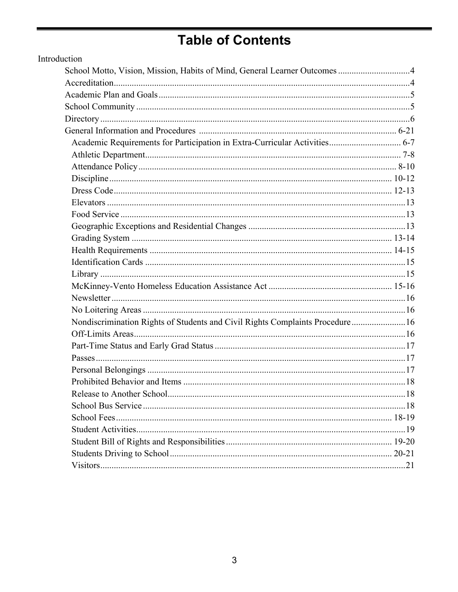# **Table of Contents**

| Introduction                                                                  |  |
|-------------------------------------------------------------------------------|--|
|                                                                               |  |
|                                                                               |  |
|                                                                               |  |
|                                                                               |  |
|                                                                               |  |
|                                                                               |  |
| Academic Requirements for Participation in Extra-Curricular Activities 6-7    |  |
|                                                                               |  |
|                                                                               |  |
|                                                                               |  |
|                                                                               |  |
|                                                                               |  |
|                                                                               |  |
|                                                                               |  |
|                                                                               |  |
|                                                                               |  |
|                                                                               |  |
|                                                                               |  |
|                                                                               |  |
|                                                                               |  |
|                                                                               |  |
| Nondiscrimination Rights of Students and Civil Rights Complaints Procedure 16 |  |
|                                                                               |  |
|                                                                               |  |
|                                                                               |  |
|                                                                               |  |
|                                                                               |  |
|                                                                               |  |
|                                                                               |  |
|                                                                               |  |
|                                                                               |  |
|                                                                               |  |
|                                                                               |  |
|                                                                               |  |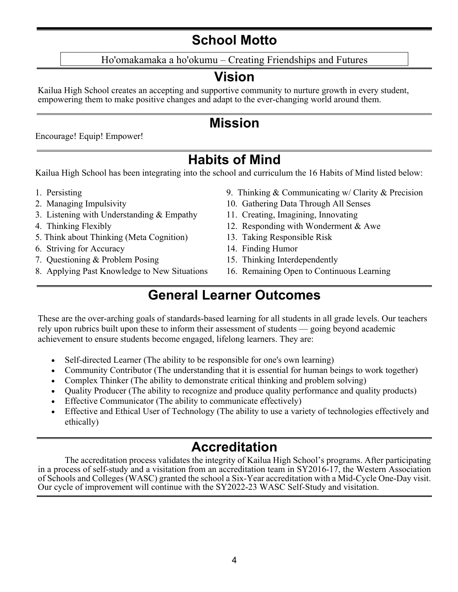## **School Motto**

Ho'omakamaka a ho'okumu – Creating Friendships and Futures

## **Vision**

Kailua High School creates an accepting and supportive community to nurture growth in every student, empowering them to make positive changes and adapt to the ever-changing world around them.

## **Mission**

Encourage! Equip! Empower!

## **Habits of Mind**

Kailua High School has been integrating into the school and curriculum the 16 Habits of Mind listed below:

- 
- 
- 3. Listening with Understanding & Empathy 11. Creating, Imagining, Innovating
- 
- 5. Think about Thinking (Meta Cognition) 13. Taking Responsible Risk
- 6. Striving for Accuracy 14. Finding Humor
- 7. Questioning & Problem Posing 15. Thinking Interdependently
- 8. Applying Past Knowledge to New Situations 16. Remaining Open to Continuous Learning
- 1. Persisting 1. Persisting 1. Persisting  $\&$  Communicating w/ Clarity  $\&$  Precision
- 2. Managing Impulsivity 10. Gathering Data Through All Senses
	-
- 4. Thinking Flexibly 12. Responding with Wonderment & Awe
	-
	-
	-
	-

## **General Learner Outcomes**

These are the over-arching goals of standards-based learning for all students in all grade levels. Our teachers rely upon rubrics built upon these to inform their assessment of students — going beyond academic achievement to ensure students become engaged, lifelong learners. They are:

- Self-directed Learner (The ability to be responsible for one's own learning)
- Community Contributor (The understanding that it is essential for human beings to work together)
- Complex Thinker (The ability to demonstrate critical thinking and problem solving)
- Quality Producer (The ability to recognize and produce quality performance and quality products)
- Effective Communicator (The ability to communicate effectively)
- Effective and Ethical User of Technology (The ability to use a variety of technologies effectively and ethically)

## **Accreditation**

The accreditation process validates the integrity of Kailua High School's programs. After participating in a process of self-study and a visitation from an accreditation team in SY2016-17, the Western Association of Schools and Colleges (WASC) granted the school a Six-Year accreditation with a Mid-Cycle One-Day visit. Our cycle of improvement will continue with the SY2022-23 WASC Self-Study and visitation.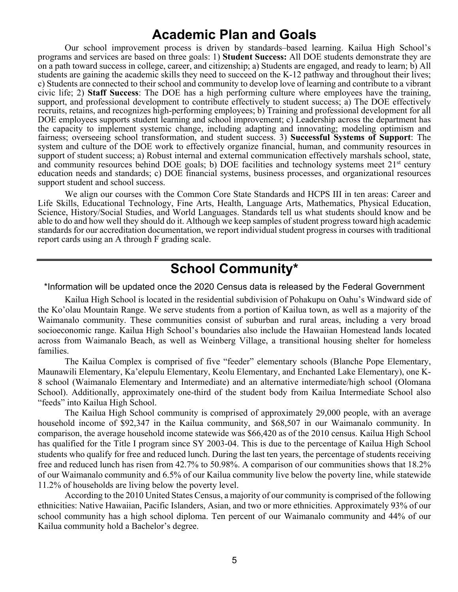### **Academic Plan and Goals**

Our school improvement process is driven by standards–based learning. Kailua High School's programs and services are based on three goals: 1) **Student Success:** All DOE students demonstrate they are on a path toward success in college, career, and citizenship; a) Students are engaged, and ready to learn; b) All students are gaining the academic skills they need to succeed on the K-12 pathway and throughout their lives; c) Students are connected to their school and community to develop love of learning and contribute to a vibrant civic life; 2) **Staff Success**: The DOE has a high performing culture where employees have the training, support, and professional development to contribute effectively to student success; a) The DOE effectively recruits, retains, and recognizes high-performing employees; b) Training and professional development for all DOE employees supports student learning and school improvement; c) Leadership across the department has the capacity to implement systemic change, including adapting and innovating; modeling optimism and fairness; overseeing school transformation, and student success. 3) **Successful Systems of Support**: The system and culture of the DOE work to effectively organize financial, human, and community resources in support of student success; a) Robust internal and external communication effectively marshals school, state, and community resources behind DOE goals; b) DOE facilities and technology systems meet  $21<sup>st</sup>$  century education needs and standards; c) DOE financial systems, business processes, and organizational resources support student and school success.

We align our courses with the Common Core State Standards and HCPS III in ten areas: Career and Life Skills, Educational Technology, Fine Arts, Health, Language Arts, Mathematics, Physical Education, Science, History/Social Studies, and World Languages. Standards tell us what students should know and be able to do and how well they should do it. Although we keep samples of student progress toward high academic standards for our accreditation documentation, we report individual student progress in courses with traditional report cards using an A through F grading scale.

## **School Community\***

\*Information will be updated once the 2020 Census data is released by the Federal Government

Kailua High School is located in the residential subdivision of Pohakupu on Oahu's Windward side of the Ko'olau Mountain Range. We serve students from a portion of Kailua town, as well as a majority of the Waimanalo community. These communities consist of suburban and rural areas, including a very broad socioeconomic range. Kailua High School's boundaries also include the Hawaiian Homestead lands located across from Waimanalo Beach, as well as Weinberg Village, a transitional housing shelter for homeless families.

The Kailua Complex is comprised of five "feeder" elementary schools (Blanche Pope Elementary, Maunawili Elementary, Ka'elepulu Elementary, Keolu Elementary, and Enchanted Lake Elementary), one K-8 school (Waimanalo Elementary and Intermediate) and an alternative intermediate/high school (Olomana School). Additionally, approximately one-third of the student body from Kailua Intermediate School also "feeds" into Kailua High School.

The Kailua High School community is comprised of approximately 29,000 people, with an average household income of \$92,347 in the Kailua community, and \$68,507 in our Waimanalo community. In comparison, the average household income statewide was \$66,420 as of the 2010 census. Kailua High School has qualified for the Title I program since SY 2003-04. This is due to the percentage of Kailua High School students who qualify for free and reduced lunch. During the last ten years, the percentage of students receiving free and reduced lunch has risen from 42.7% to 50.98%. A comparison of our communities shows that 18.2% of our Waimanalo community and 6.5% of our Kailua community live below the poverty line, while statewide 11.2% of households are living below the poverty level.

According to the 2010 United States Census, a majority of our community is comprised of the following ethnicities: Native Hawaiian, Pacific Islanders, Asian, and two or more ethnicities. Approximately 93% of our school community has a high school diploma. Ten percent of our Waimanalo community and 44% of our Kailua community hold a Bachelor's degree.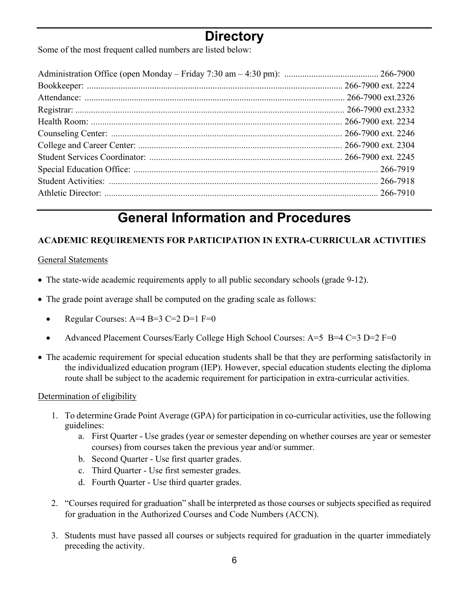## **Directory**

Some of the most frequent called numbers are listed below:

# **General Information and Procedures**

#### **ACADEMIC REQUIREMENTS FOR PARTICIPATION IN EXTRA-CURRICULAR ACTIVITIES**

#### General Statements

- The state-wide academic requirements apply to all public secondary schools (grade 9-12).
- The grade point average shall be computed on the grading scale as follows:
	- Regular Courses:  $A=4$  B=3 C=2 D=1 F=0
	- Advanced Placement Courses/Early College High School Courses: A=5 B=4 C=3 D=2 F=0
- The academic requirement for special education students shall be that they are performing satisfactorily in the individualized education program (IEP). However, special education students electing the diploma route shall be subject to the academic requirement for participation in extra-curricular activities.

#### Determination of eligibility

- 1. To determine Grade Point Average (GPA) for participation in co-curricular activities, use the following guidelines:
	- a. First Quarter Use grades (year or semester depending on whether courses are year or semester courses) from courses taken the previous year and/or summer.
	- b. Second Quarter Use first quarter grades.
	- c. Third Quarter Use first semester grades.
	- d. Fourth Quarter Use third quarter grades.
- 2. "Courses required for graduation" shall be interpreted as those courses or subjects specified as required for graduation in the Authorized Courses and Code Numbers (ACCN).
- 3. Students must have passed all courses or subjects required for graduation in the quarter immediately preceding the activity.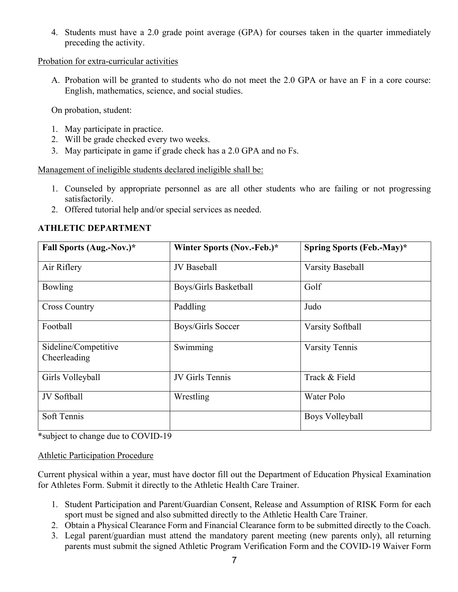4. Students must have a 2.0 grade point average (GPA) for courses taken in the quarter immediately preceding the activity.

#### Probation for extra-curricular activities

A. Probation will be granted to students who do not meet the 2.0 GPA or have an F in a core course: English, mathematics, science, and social studies.

On probation, student:

- 1. May participate in practice.
- 2. Will be grade checked every two weeks.
- 3. May participate in game if grade check has a 2.0 GPA and no Fs.

Management of ineligible students declared ineligible shall be:

- 1. Counseled by appropriate personnel as are all other students who are failing or not progressing satisfactorily.
- 2. Offered tutorial help and/or special services as needed.

| Fall Sports (Aug.-Nov.)*             | Winter Sports (Nov.-Feb.)* | Spring Sports (Feb.-May)* |
|--------------------------------------|----------------------------|---------------------------|
| Air Riflery                          | <b>JV</b> Baseball         | <b>Varsity Baseball</b>   |
| Bowling                              | Boys/Girls Basketball      | Golf                      |
| <b>Cross Country</b>                 | Paddling                   | Judo                      |
| Football                             | Boys/Girls Soccer          | Varsity Softball          |
| Sideline/Competitive<br>Cheerleading | Swimming                   | <b>Varsity Tennis</b>     |
| Girls Volleyball                     | JV Girls Tennis            | Track & Field             |
| JV Softball                          | Wrestling                  | Water Polo                |
| Soft Tennis                          |                            | Boys Volleyball           |

#### **ATHLETIC DEPARTMENT**

\*subject to change due to COVID-19

Athletic Participation Procedure

Current physical within a year, must have doctor fill out the Department of Education Physical Examination for Athletes Form. Submit it directly to the Athletic Health Care Trainer.

- 1. Student Participation and Parent/Guardian Consent, Release and Assumption of RISK Form for each sport must be signed and also submitted directly to the Athletic Health Care Trainer.
- 2. Obtain a Physical Clearance Form and Financial Clearance form to be submitted directly to the Coach.
- 3. Legal parent/guardian must attend the mandatory parent meeting (new parents only), all returning parents must submit the signed Athletic Program Verification Form and the COVID-19 Waiver Form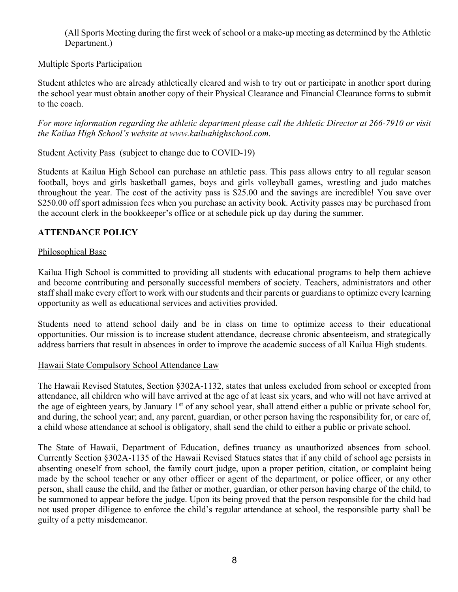(All Sports Meeting during the first week of school or a make-up meeting as determined by the Athletic Department.)

#### Multiple Sports Participation

Student athletes who are already athletically cleared and wish to try out or participate in another sport during the school year must obtain another copy of their Physical Clearance and Financial Clearance forms to submit to the coach.

*For more information regarding the athletic department please call the Athletic Director at 266-7910 or visit the Kailua High School's website at www.kailuahighschool.com.*

#### Student Activity Pass (subject to change due to COVID-19)

Students at Kailua High School can purchase an athletic pass. This pass allows entry to all regular season football, boys and girls basketball games, boys and girls volleyball games, wrestling and judo matches throughout the year. The cost of the activity pass is \$25.00 and the savings are incredible! You save over \$250.00 off sport admission fees when you purchase an activity book. Activity passes may be purchased from the account clerk in the bookkeeper's office or at schedule pick up day during the summer.

#### **ATTENDANCE POLICY**

#### Philosophical Base

Kailua High School is committed to providing all students with educational programs to help them achieve and become contributing and personally successful members of society. Teachers, administrators and other staff shall make every effort to work with our students and their parents or guardians to optimize every learning opportunity as well as educational services and activities provided.

Students need to attend school daily and be in class on time to optimize access to their educational opportunities. Our mission is to increase student attendance, decrease chronic absenteeism, and strategically address barriers that result in absences in order to improve the academic success of all Kailua High students.

#### Hawaii State Compulsory School Attendance Law

The Hawaii Revised Statutes, Section §302A-1132, states that unless excluded from school or excepted from attendance, all children who will have arrived at the age of at least six years, and who will not have arrived at the age of eighteen years, by January 1<sup>st</sup> of any school year, shall attend either a public or private school for, and during, the school year; and, any parent, guardian, or other person having the responsibility for, or care of, a child whose attendance at school is obligatory, shall send the child to either a public or private school.

The State of Hawaii, Department of Education, defines truancy as unauthorized absences from school. Currently Section §302A-1135 of the Hawaii Revised Statues states that if any child of school age persists in absenting oneself from school, the family court judge, upon a proper petition, citation, or complaint being made by the school teacher or any other officer or agent of the department, or police officer, or any other person, shall cause the child, and the father or mother, guardian, or other person having charge of the child, to be summoned to appear before the judge. Upon its being proved that the person responsible for the child had not used proper diligence to enforce the child's regular attendance at school, the responsible party shall be guilty of a petty misdemeanor.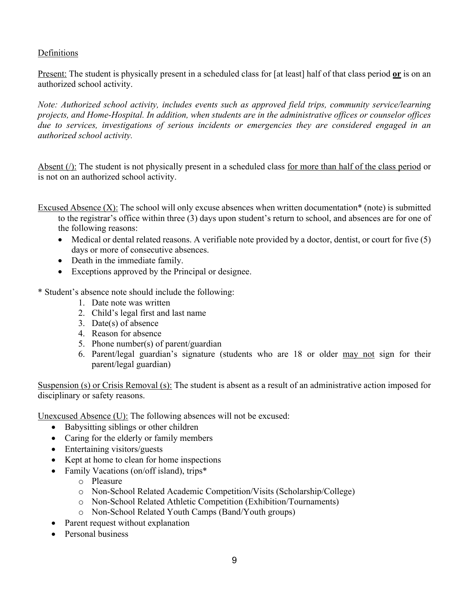#### Definitions

Present: The student is physically present in a scheduled class for [at least] half of that class period **or** is on an authorized school activity.

*Note: Authorized school activity, includes events such as approved field trips, community service/learning projects, and Home-Hospital. In addition, when students are in the administrative offices or counselor offices due to services, investigations of serious incidents or emergencies they are considered engaged in an authorized school activity.* 

Absent  $()$ : The student is not physically present in a scheduled class for more than half of the class period or is not on an authorized school activity.

Excused Absence (X): The school will only excuse absences when written documentation\* (note) is submitted to the registrar's office within three (3) days upon student's return to school, and absences are for one of the following reasons:

- Medical or dental related reasons. A verifiable note provided by a doctor, dentist, or court for five (5) days or more of consecutive absences.
- Death in the immediate family.
- Exceptions approved by the Principal or designee.

\* Student's absence note should include the following:

- 1. Date note was written
- 2. Child's legal first and last name
- 3. Date(s) of absence
- 4. Reason for absence
- 5. Phone number(s) of parent/guardian
- 6. Parent/legal guardian's signature (students who are 18 or older may not sign for their parent/legal guardian)

Suspension (s) or Crisis Removal (s): The student is absent as a result of an administrative action imposed for disciplinary or safety reasons.

Unexcused Absence (U): The following absences will not be excused:

- Babysitting siblings or other children
- Caring for the elderly or family members
- Entertaining visitors/guests
- Kept at home to clean for home inspections
- Family Vacations (on/off island), trips\*
	- o Pleasure
	- o Non-School Related Academic Competition/Visits (Scholarship/College)
	- o Non-School Related Athletic Competition (Exhibition/Tournaments)
	- o Non-School Related Youth Camps (Band/Youth groups)
- Parent request without explanation
- Personal business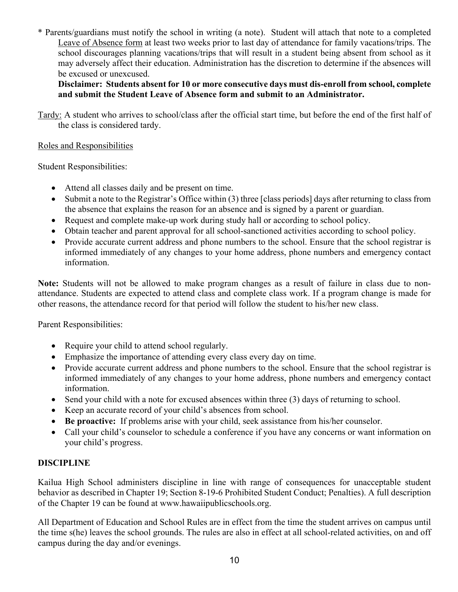\* Parents/guardians must notify the school in writing (a note). Student will attach that note to a completed Leave of Absence form at least two weeks prior to last day of attendance for family vacations/trips. The school discourages planning vacations/trips that will result in a student being absent from school as it may adversely affect their education. Administration has the discretion to determine if the absences will be excused or unexcused.

**Disclaimer: Students absent for 10 or more consecutive days must dis-enroll from school, complete and submit the Student Leave of Absence form and submit to an Administrator.** 

Tardy: A student who arrives to school/class after the official start time, but before the end of the first half of the class is considered tardy.

#### Roles and Responsibilities

Student Responsibilities:

- Attend all classes daily and be present on time.
- Submit a note to the Registrar's Office within (3) three [class periods] days after returning to class from the absence that explains the reason for an absence and is signed by a parent or guardian.
- Request and complete make-up work during study hall or according to school policy.
- Obtain teacher and parent approval for all school-sanctioned activities according to school policy.
- Provide accurate current address and phone numbers to the school. Ensure that the school registrar is informed immediately of any changes to your home address, phone numbers and emergency contact information.

**Note:** Students will not be allowed to make program changes as a result of failure in class due to nonattendance. Students are expected to attend class and complete class work. If a program change is made for other reasons, the attendance record for that period will follow the student to his/her new class.

Parent Responsibilities:

- Require your child to attend school regularly.
- Emphasize the importance of attending every class every day on time.
- Provide accurate current address and phone numbers to the school. Ensure that the school registrar is informed immediately of any changes to your home address, phone numbers and emergency contact information.
- Send your child with a note for excused absences within three (3) days of returning to school.
- Keep an accurate record of your child's absences from school.
- **Be proactive:** If problems arise with your child, seek assistance from his/her counselor.
- Call your child's counselor to schedule a conference if you have any concerns or want information on your child's progress.

#### **DISCIPLINE**

Kailua High School administers discipline in line with range of consequences for unacceptable student behavior as described in Chapter 19; Section 8-19-6 Prohibited Student Conduct; Penalties). A full description of the Chapter 19 can be found at www.hawaiipublicschools.org.

All Department of Education and School Rules are in effect from the time the student arrives on campus until the time s(he) leaves the school grounds. The rules are also in effect at all school-related activities, on and off campus during the day and/or evenings.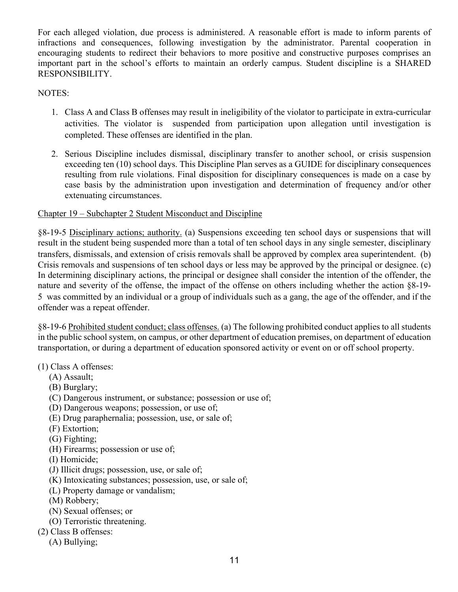For each alleged violation, due process is administered. A reasonable effort is made to inform parents of infractions and consequences, following investigation by the administrator. Parental cooperation in encouraging students to redirect their behaviors to more positive and constructive purposes comprises an important part in the school's efforts to maintain an orderly campus. Student discipline is a SHARED RESPONSIBILITY.

NOTES:

- 1. Class A and Class B offenses may result in ineligibility of the violator to participate in extra-curricular activities. The violator is suspended from participation upon allegation until investigation is completed. These offenses are identified in the plan.
- 2. Serious Discipline includes dismissal, disciplinary transfer to another school, or crisis suspension exceeding ten (10) school days. This Discipline Plan serves as a GUIDE for disciplinary consequences resulting from rule violations. Final disposition for disciplinary consequences is made on a case by case basis by the administration upon investigation and determination of frequency and/or other extenuating circumstances.

#### Chapter 19 – Subchapter 2 Student Misconduct and Discipline

§8-19-5 Disciplinary actions; authority. (a) Suspensions exceeding ten school days or suspensions that will result in the student being suspended more than a total of ten school days in any single semester, disciplinary transfers, dismissals, and extension of crisis removals shall be approved by complex area superintendent. (b) Crisis removals and suspensions of ten school days or less may be approved by the principal or designee. (c) In determining disciplinary actions, the principal or designee shall consider the intention of the offender, the nature and severity of the offense, the impact of the offense on others including whether the action §8-19- 5 was committed by an individual or a group of individuals such as a gang, the age of the offender, and if the offender was a repeat offender.

§8-19-6 Prohibited student conduct; class offenses. (a) The following prohibited conduct applies to all students in the public school system, on campus, or other department of education premises, on department of education transportation, or during a department of education sponsored activity or event on or off school property.

(1) Class A offenses:

- (A) Assault;
- (B) Burglary;
- (C) Dangerous instrument, or substance; possession or use of;
- (D) Dangerous weapons; possession, or use of;
- (E) Drug paraphernalia; possession, use, or sale of;
- (F) Extortion;
- (G) Fighting;
- (H) Firearms; possession or use of;
- (I) Homicide;
- (J) Illicit drugs; possession, use, or sale of;
- (K) Intoxicating substances; possession, use, or sale of;
- (L) Property damage or vandalism;
- (M) Robbery;
- (N) Sexual offenses; or
- (O) Terroristic threatening.
- (2) Class B offenses:
	- (A) Bullying;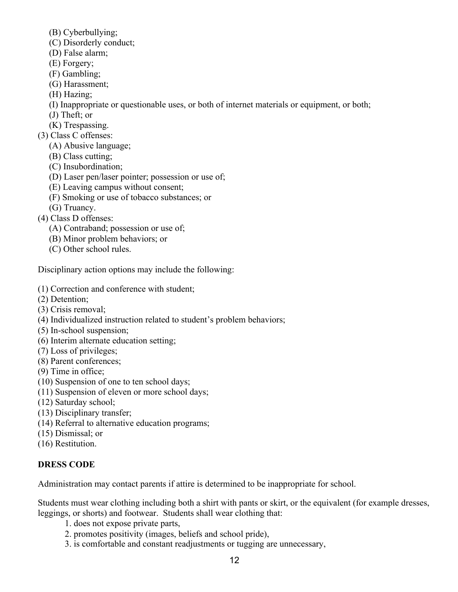(B) Cyberbullying;

- (C) Disorderly conduct;
- (D) False alarm;
- (E) Forgery;
- (F) Gambling;
- (G) Harassment;
- (H) Hazing;
- (I) Inappropriate or questionable uses, or both of internet materials or equipment, or both;
- (J) Theft; or
- (K) Trespassing.
- (3) Class C offenses:
	- (A) Abusive language;
	- (B) Class cutting;
	- (C) Insubordination;
	- (D) Laser pen/laser pointer; possession or use of;
	- (E) Leaving campus without consent;
	- (F) Smoking or use of tobacco substances; or
	- (G) Truancy.
- (4) Class D offenses:
	- (A) Contraband; possession or use of;
	- (B) Minor problem behaviors; or
	- (C) Other school rules.

Disciplinary action options may include the following:

- (1) Correction and conference with student;
- (2) Detention;
- (3) Crisis removal;
- (4) Individualized instruction related to student's problem behaviors;
- (5) In-school suspension;
- (6) Interim alternate education setting;
- (7) Loss of privileges;
- (8) Parent conferences;
- (9) Time in office;
- (10) Suspension of one to ten school days;
- (11) Suspension of eleven or more school days;
- (12) Saturday school;
- (13) Disciplinary transfer;
- (14) Referral to alternative education programs;
- (15) Dismissal; or
- (16) Restitution.

#### **DRESS CODE**

Administration may contact parents if attire is determined to be inappropriate for school.

Students must wear clothing including both a shirt with pants or skirt, or the equivalent (for example dresses, leggings, or shorts) and footwear. Students shall wear clothing that:

- 1. does not expose private parts,
- 2. promotes positivity (images, beliefs and school pride),
- 3. is comfortable and constant readjustments or tugging are unnecessary,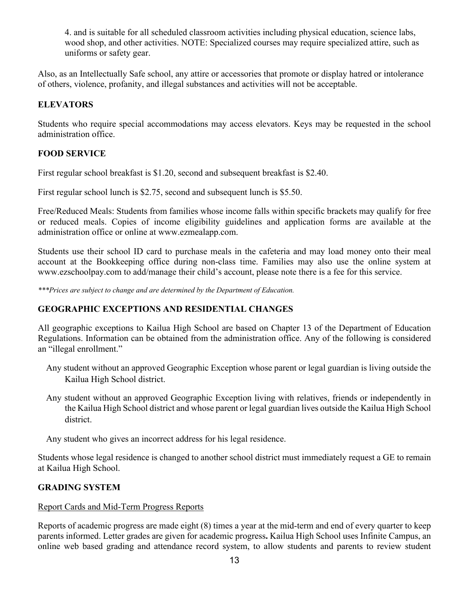4. and is suitable for all scheduled classroom activities including physical education, science labs, wood shop, and other activities. NOTE: Specialized courses may require specialized attire, such as uniforms or safety gear.

Also, as an Intellectually Safe school, any attire or accessories that promote or display hatred or intolerance of others, violence, profanity, and illegal substances and activities will not be acceptable.

#### **ELEVATORS**

Students who require special accommodations may access elevators. Keys may be requested in the school administration office.

#### **FOOD SERVICE**

First regular school breakfast is \$1.20, second and subsequent breakfast is \$2.40.

First regular school lunch is \$2.75, second and subsequent lunch is \$5.50.

Free/Reduced Meals: Students from families whose income falls within specific brackets may qualify for free or reduced meals. Copies of income eligibility guidelines and application forms are available at the administration office or online at www.ezmealapp.com.

Students use their school ID card to purchase meals in the cafeteria and may load money onto their meal account at the Bookkeeping office during non-class time. Families may also use the online system at www.ezschoolpay.com to add/manage their child's account, please note there is a fee for this service.

*\*\*\*Prices are subject to change and are determined by the Department of Education.*

#### **GEOGRAPHIC EXCEPTIONS AND RESIDENTIAL CHANGES**

All geographic exceptions to Kailua High School are based on Chapter 13 of the Department of Education Regulations. Information can be obtained from the administration office. Any of the following is considered an "illegal enrollment."

- Any student without an approved Geographic Exception whose parent or legal guardian is living outside the Kailua High School district.
- Any student without an approved Geographic Exception living with relatives, friends or independently in the Kailua High School district and whose parent or legal guardian lives outside the Kailua High School district.

Any student who gives an incorrect address for his legal residence.

Students whose legal residence is changed to another school district must immediately request a GE to remain at Kailua High School.

#### **GRADING SYSTEM**

#### Report Cards and Mid-Term Progress Reports

Reports of academic progress are made eight (8) times a year at the mid-term and end of every quarter to keep parents informed. Letter grades are given for academic progress**.** Kailua High School uses Infinite Campus, an online web based grading and attendance record system, to allow students and parents to review student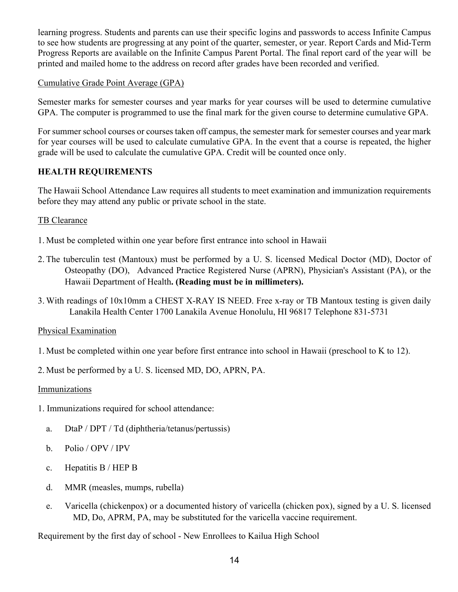learning progress. Students and parents can use their specific logins and passwords to access Infinite Campus to see how students are progressing at any point of the quarter, semester, or year. Report Cards and Mid-Term Progress Reports are available on the Infinite Campus Parent Portal. The final report card of the year will be printed and mailed home to the address on record after grades have been recorded and verified.

#### Cumulative Grade Point Average (GPA)

Semester marks for semester courses and year marks for year courses will be used to determine cumulative GPA. The computer is programmed to use the final mark for the given course to determine cumulative GPA.

For summer school courses or courses taken off campus, the semester mark for semester courses and year mark for year courses will be used to calculate cumulative GPA. In the event that a course is repeated, the higher grade will be used to calculate the cumulative GPA. Credit will be counted once only.

#### **HEALTH REQUIREMENTS**

The Hawaii School Attendance Law requires all students to meet examination and immunization requirements before they may attend any public or private school in the state.

#### TB Clearance

- 1. Must be completed within one year before first entrance into school in Hawaii
- 2. The tuberculin test (Mantoux) must be performed by a U. S. licensed Medical Doctor (MD), Doctor of Osteopathy (DO), Advanced Practice Registered Nurse (APRN), Physician's Assistant (PA), or the Hawaii Department of Health**. (Reading must be in millimeters).**
- 3. With readings of 10x10mm a CHEST X-RAY IS NEED. Free x-ray or TB Mantoux testing is given daily Lanakila Health Center 1700 Lanakila Avenue Honolulu, HI 96817 Telephone 831-5731

#### Physical Examination

- 1. Must be completed within one year before first entrance into school in Hawaii (preschool to K to 12).
- 2. Must be performed by a U. S. licensed MD, DO, APRN, PA.

#### **Immunizations**

- 1. Immunizations required for school attendance:
	- a. DtaP / DPT / Td (diphtheria/tetanus/pertussis)
	- b. Polio / OPV / IPV
	- c. Hepatitis B / HEP B
	- d. MMR (measles, mumps, rubella)
	- e. Varicella (chickenpox) or a documented history of varicella (chicken pox), signed by a U. S. licensed MD, Do, APRM, PA, may be substituted for the varicella vaccine requirement.

Requirement by the first day of school - New Enrollees to Kailua High School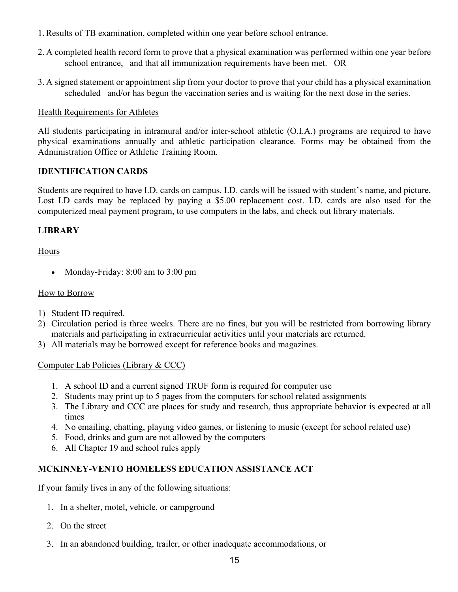- 1.Results of TB examination, completed within one year before school entrance.
- 2. A completed health record form to prove that a physical examination was performed within one year before school entrance, and that all immunization requirements have been met. OR
- 3. A signed statement or appointment slip from your doctor to prove that your child has a physical examination scheduled and/or has begun the vaccination series and is waiting for the next dose in the series.

#### Health Requirements for Athletes

All students participating in intramural and/or inter-school athletic (O.I.A.) programs are required to have physical examinations annually and athletic participation clearance. Forms may be obtained from the Administration Office or Athletic Training Room.

#### **IDENTIFICATION CARDS**

Students are required to have I.D. cards on campus. I.D. cards will be issued with student's name, and picture. Lost I.D cards may be replaced by paying a \$5.00 replacement cost. I.D. cards are also used for the computerized meal payment program, to use computers in the labs, and check out library materials.

#### **LIBRARY**

Hours

• Monday-Friday: 8:00 am to 3:00 pm

#### How to Borrow

- 1) Student ID required.
- 2) Circulation period is three weeks. There are no fines, but you will be restricted from borrowing library materials and participating in extracurricular activities until your materials are returned.
- 3) All materials may be borrowed except for reference books and magazines.

#### Computer Lab Policies (Library & CCC)

- 1. A school ID and a current signed TRUF form is required for computer use
- 2. Students may print up to 5 pages from the computers for school related assignments
- 3. The Library and CCC are places for study and research, thus appropriate behavior is expected at all times
- 4. No emailing, chatting, playing video games, or listening to music (except for school related use)
- 5. Food, drinks and gum are not allowed by the computers
- 6. All Chapter 19 and school rules apply

#### **MCKINNEY-VENTO HOMELESS EDUCATION ASSISTANCE ACT**

If your family lives in any of the following situations:

- 1. In a shelter, motel, vehicle, or campground
- 2. On the street
- 3. In an abandoned building, trailer, or other inadequate accommodations, or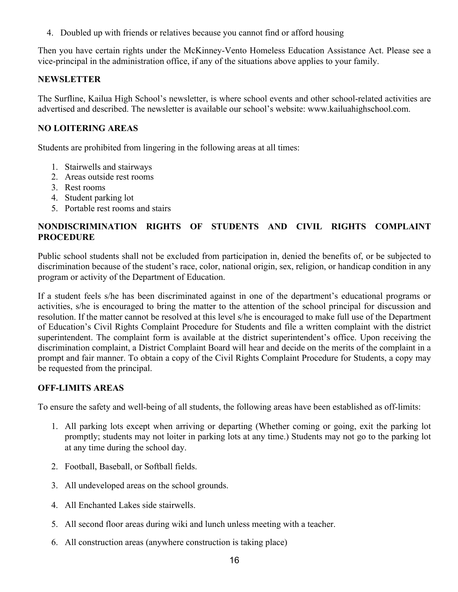4. Doubled up with friends or relatives because you cannot find or afford housing

Then you have certain rights under the McKinney-Vento Homeless Education Assistance Act. Please see a vice-principal in the administration office, if any of the situations above applies to your family.

#### **NEWSLETTER**

The Surfline, Kailua High School's newsletter, is where school events and other school-related activities are advertised and described. The newsletter is available our school's website: www.kailuahighschool.com.

#### **NO LOITERING AREAS**

Students are prohibited from lingering in the following areas at all times:

- 1. Stairwells and stairways
- 2. Areas outside rest rooms
- 3. Rest rooms
- 4. Student parking lot
- 5. Portable rest rooms and stairs

#### **NONDISCRIMINATION RIGHTS OF STUDENTS AND CIVIL RIGHTS COMPLAINT PROCEDURE**

Public school students shall not be excluded from participation in, denied the benefits of, or be subjected to discrimination because of the student's race, color, national origin, sex, religion, or handicap condition in any program or activity of the Department of Education.

If a student feels s/he has been discriminated against in one of the department's educational programs or activities, s/he is encouraged to bring the matter to the attention of the school principal for discussion and resolution. If the matter cannot be resolved at this level s/he is encouraged to make full use of the Department of Education's Civil Rights Complaint Procedure for Students and file a written complaint with the district superintendent. The complaint form is available at the district superintendent's office. Upon receiving the discrimination complaint, a District Complaint Board will hear and decide on the merits of the complaint in a prompt and fair manner. To obtain a copy of the Civil Rights Complaint Procedure for Students, a copy may be requested from the principal.

#### **OFF-LIMITS AREAS**

To ensure the safety and well-being of all students, the following areas have been established as off-limits:

- 1. All parking lots except when arriving or departing (Whether coming or going, exit the parking lot promptly; students may not loiter in parking lots at any time.) Students may not go to the parking lot at any time during the school day.
- 2. Football, Baseball, or Softball fields.
- 3. All undeveloped areas on the school grounds.
- 4. All Enchanted Lakes side stairwells.
- 5. All second floor areas during wiki and lunch unless meeting with a teacher.
- 6. All construction areas (anywhere construction is taking place)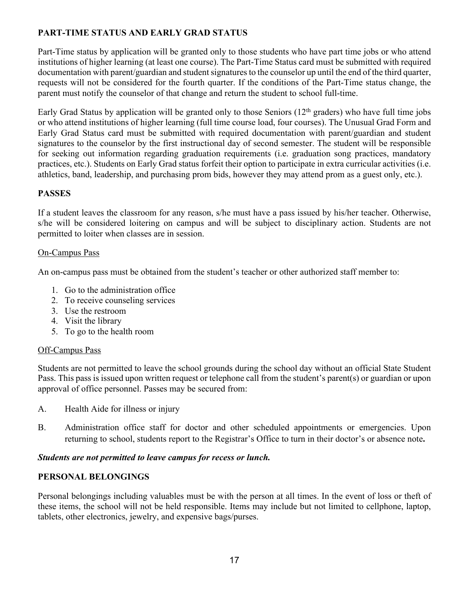#### **PART-TIME STATUS AND EARLY GRAD STATUS**

Part-Time status by application will be granted only to those students who have part time jobs or who attend institutions of higher learning (at least one course). The Part-Time Status card must be submitted with required documentation with parent/guardian and student signatures to the counselor up until the end of the third quarter, requests will not be considered for the fourth quarter. If the conditions of the Part-Time status change, the parent must notify the counselor of that change and return the student to school full-time.

Early Grad Status by application will be granted only to those Seniors  $(12<sup>th</sup>$  graders) who have full time jobs or who attend institutions of higher learning (full time course load, four courses). The Unusual Grad Form and Early Grad Status card must be submitted with required documentation with parent/guardian and student signatures to the counselor by the first instructional day of second semester. The student will be responsible for seeking out information regarding graduation requirements (i.e. graduation song practices, mandatory practices, etc.). Students on Early Grad status forfeit their option to participate in extra curricular activities (i.e. athletics, band, leadership, and purchasing prom bids, however they may attend prom as a guest only, etc.).

#### **PASSES**

If a student leaves the classroom for any reason, s/he must have a pass issued by his/her teacher. Otherwise, s/he will be considered loitering on campus and will be subject to disciplinary action. Students are not permitted to loiter when classes are in session.

#### On-Campus Pass

An on-campus pass must be obtained from the student's teacher or other authorized staff member to:

- 1. Go to the administration office
- 2. To receive counseling services
- 3. Use the restroom
- 4. Visit the library
- 5. To go to the health room

#### Off-Campus Pass

Students are not permitted to leave the school grounds during the school day without an official State Student Pass. This pass is issued upon written request or telephone call from the student's parent(s) or guardian or upon approval of office personnel. Passes may be secured from:

- A. Health Aide for illness or injury
- B. Administration office staff for doctor and other scheduled appointments or emergencies. Upon returning to school, students report to the Registrar's Office to turn in their doctor's or absence note**.**

#### *Students are not permitted to leave campus for recess or lunch.*

#### **PERSONAL BELONGINGS**

Personal belongings including valuables must be with the person at all times. In the event of loss or theft of these items, the school will not be held responsible. Items may include but not limited to cellphone, laptop, tablets, other electronics, jewelry, and expensive bags/purses.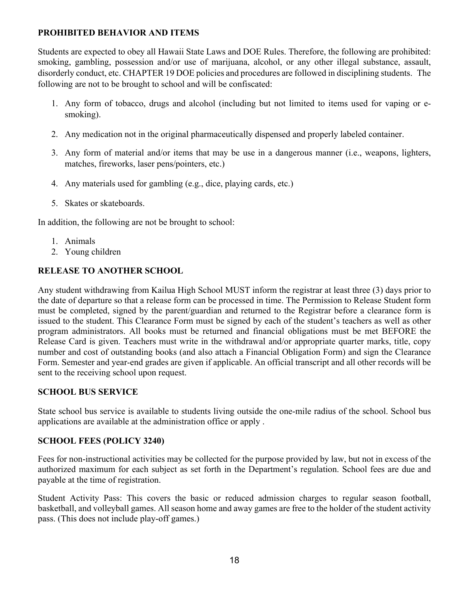#### **PROHIBITED BEHAVIOR AND ITEMS**

Students are expected to obey all Hawaii State Laws and DOE Rules. Therefore, the following are prohibited: smoking, gambling, possession and/or use of marijuana, alcohol, or any other illegal substance, assault, disorderly conduct, etc. CHAPTER 19 DOE policies and procedures are followed in disciplining students. The following are not to be brought to school and will be confiscated:

- 1. Any form of tobacco, drugs and alcohol (including but not limited to items used for vaping or esmoking).
- 2. Any medication not in the original pharmaceutically dispensed and properly labeled container.
- 3. Any form of material and/or items that may be use in a dangerous manner (i.e., weapons, lighters, matches, fireworks, laser pens/pointers, etc.)
- 4. Any materials used for gambling (e.g., dice, playing cards, etc.)
- 5. Skates or skateboards.

In addition, the following are not be brought to school:

- 1. Animals
- 2. Young children

#### **RELEASE TO ANOTHER SCHOOL**

Any student withdrawing from Kailua High School MUST inform the registrar at least three (3) days prior to the date of departure so that a release form can be processed in time. The Permission to Release Student form must be completed, signed by the parent/guardian and returned to the Registrar before a clearance form is issued to the student. This Clearance Form must be signed by each of the student's teachers as well as other program administrators. All books must be returned and financial obligations must be met BEFORE the Release Card is given. Teachers must write in the withdrawal and/or appropriate quarter marks, title, copy number and cost of outstanding books (and also attach a Financial Obligation Form) and sign the Clearance Form. Semester and year-end grades are given if applicable. An official transcript and all other records will be sent to the receiving school upon request.

#### **SCHOOL BUS SERVICE**

State school bus service is available to students living outside the one-mile radius of the school. School bus applications are available at the administration office or apply .

#### **SCHOOL FEES (POLICY 3240)**

Fees for non-instructional activities may be collected for the purpose provided by law, but not in excess of the authorized maximum for each subject as set forth in the Department's regulation. School fees are due and payable at the time of registration.

Student Activity Pass: This covers the basic or reduced admission charges to regular season football, basketball, and volleyball games. All season home and away games are free to the holder of the student activity pass. (This does not include play-off games.)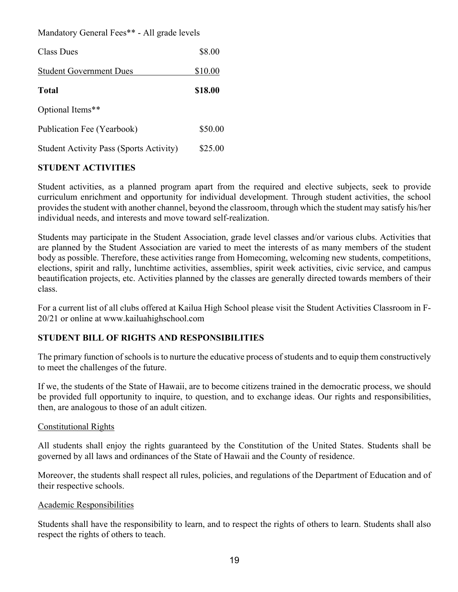#### Mandatory General Fees\*\* - All grade levels

| <b>Class Dues</b>                              | \$8.00  |
|------------------------------------------------|---------|
| <b>Student Government Dues</b>                 | \$10.00 |
| <b>Total</b>                                   | \$18.00 |
| Optional Items**                               |         |
| Publication Fee (Yearbook)                     | \$50.00 |
| <b>Student Activity Pass (Sports Activity)</b> | \$25.00 |

#### **STUDENT ACTIVITIES**

Student activities, as a planned program apart from the required and elective subjects, seek to provide curriculum enrichment and opportunity for individual development. Through student activities, the school provides the student with another channel, beyond the classroom, through which the student may satisfy his/her individual needs, and interests and move toward self-realization.

Students may participate in the Student Association, grade level classes and/or various clubs. Activities that are planned by the Student Association are varied to meet the interests of as many members of the student body as possible. Therefore, these activities range from Homecoming, welcoming new students, competitions, elections, spirit and rally, lunchtime activities, assemblies, spirit week activities, civic service, and campus beautification projects, etc. Activities planned by the classes are generally directed towards members of their class.

For a current list of all clubs offered at Kailua High School please visit the Student Activities Classroom in F-20/21 or online at www.kailuahighschool.com

#### **STUDENT BILL OF RIGHTS AND RESPONSIBILITIES**

The primary function of schools is to nurture the educative process of students and to equip them constructively to meet the challenges of the future.

If we, the students of the State of Hawaii, are to become citizens trained in the democratic process, we should be provided full opportunity to inquire, to question, and to exchange ideas. Our rights and responsibilities, then, are analogous to those of an adult citizen.

#### Constitutional Rights

All students shall enjoy the rights guaranteed by the Constitution of the United States. Students shall be governed by all laws and ordinances of the State of Hawaii and the County of residence.

Moreover, the students shall respect all rules, policies, and regulations of the Department of Education and of their respective schools.

#### Academic Responsibilities

Students shall have the responsibility to learn, and to respect the rights of others to learn. Students shall also respect the rights of others to teach.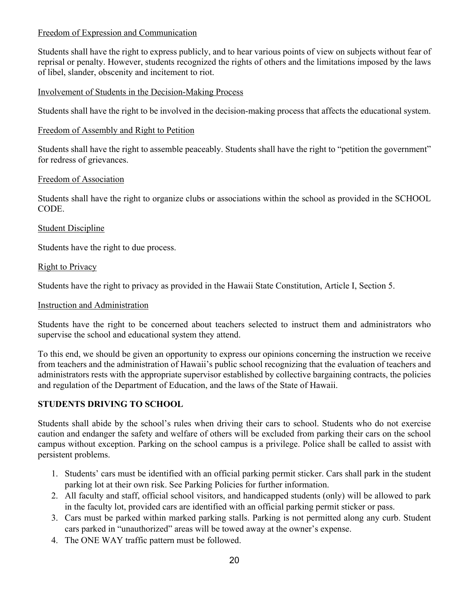#### Freedom of Expression and Communication

Students shall have the right to express publicly, and to hear various points of view on subjects without fear of reprisal or penalty. However, students recognized the rights of others and the limitations imposed by the laws of libel, slander, obscenity and incitement to riot.

#### Involvement of Students in the Decision-Making Process

Students shall have the right to be involved in the decision-making process that affects the educational system.

#### Freedom of Assembly and Right to Petition

Students shall have the right to assemble peaceably. Students shall have the right to "petition the government" for redress of grievances.

#### Freedom of Association

Students shall have the right to organize clubs or associations within the school as provided in the SCHOOL CODE.

#### Student Discipline

Students have the right to due process.

#### **Right to Privacy**

Students have the right to privacy as provided in the Hawaii State Constitution, Article I, Section 5.

#### Instruction and Administration

Students have the right to be concerned about teachers selected to instruct them and administrators who supervise the school and educational system they attend.

To this end, we should be given an opportunity to express our opinions concerning the instruction we receive from teachers and the administration of Hawaii's public school recognizing that the evaluation of teachers and administrators rests with the appropriate supervisor established by collective bargaining contracts, the policies and regulation of the Department of Education, and the laws of the State of Hawaii.

#### **STUDENTS DRIVING TO SCHOOL**

Students shall abide by the school's rules when driving their cars to school. Students who do not exercise caution and endanger the safety and welfare of others will be excluded from parking their cars on the school campus without exception. Parking on the school campus is a privilege. Police shall be called to assist with persistent problems.

- 1. Students' cars must be identified with an official parking permit sticker. Cars shall park in the student parking lot at their own risk. See Parking Policies for further information.
- 2. All faculty and staff, official school visitors, and handicapped students (only) will be allowed to park in the faculty lot, provided cars are identified with an official parking permit sticker or pass.
- 3. Cars must be parked within marked parking stalls. Parking is not permitted along any curb. Student cars parked in "unauthorized" areas will be towed away at the owner's expense.
- 4. The ONE WAY traffic pattern must be followed.